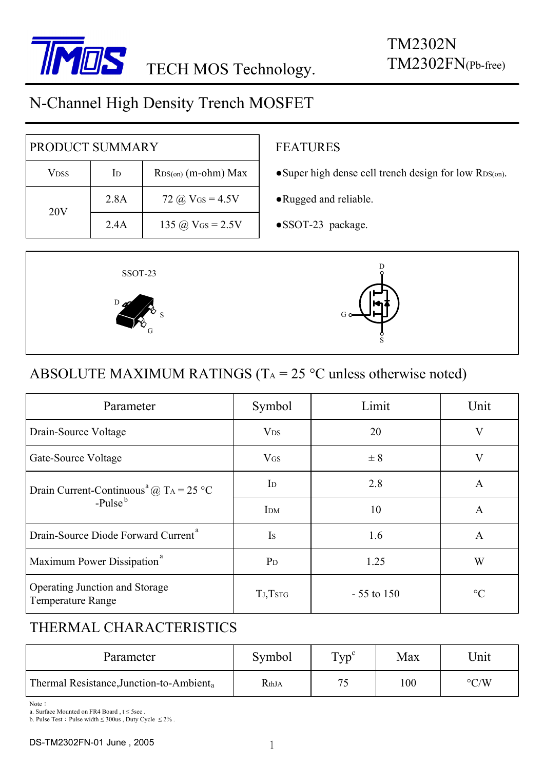

# N-Channel High Density Trench MOSFET

| PRODUCT SUMMARY |                |                       |  |  |
|-----------------|----------------|-----------------------|--|--|
| Vdss            | I <sub>D</sub> | $RDS(0n)$ (m-ohm) Max |  |  |
| 20V             | 2.8A           | 72 @ $V_{GS} = 4.5V$  |  |  |
|                 | 2.4A           | 135 @ $V_{GS} = 2.5V$ |  |  |

#### FEATURES

- ●Super high dense cell trench design for low RDS(on).
- ●Rugged and reliable.
- ●SSOT-23 package.



### ABSOLUTE MAXIMUM RATINGS ( $T_A = 25$  °C unless otherwise noted)

| Parameter                                                      | Symbol                | Limit        | Unit    |  |
|----------------------------------------------------------------|-----------------------|--------------|---------|--|
| Drain-Source Voltage                                           | <b>V<sub>DS</sub></b> | 20           | V       |  |
| Gate-Source Voltage                                            | $V$ <sub>GS</sub>     | $\pm$ 8      | $\rm V$ |  |
| Drain Current-Continuous <sup>a</sup> @ T <sub>A</sub> = 25 °C | I <sub>D</sub>        | 2.8          | A       |  |
| $-$ Pulse $b$                                                  | I <sub>DM</sub>       | 10           | A       |  |
| Drain-Source Diode Forward Current <sup>a</sup>                | Is                    | 1.6          | A       |  |
| Maximum Power Dissipation <sup>a</sup>                         | $P_D$                 | 1.25         | W       |  |
| Operating Junction and Storage<br>Temperature Range            | TJ,TSTG               | $-55$ to 150 | $\circ$ |  |

### THERMAL CHARACTERISTICS

| Parameter                                            | Symbol | $Tvp^c$ | Max | Unit               |
|------------------------------------------------------|--------|---------|-----|--------------------|
| Thermal Resistance, Junction-to-Ambient <sub>a</sub> | RthJA  | 75      | 100 | $\rm ^{\circ} C/W$ |

Note:

b. Pulse Test: Pulse width  $\leq$  300us, Duty Cycle  $\leq$  2%.

a. Surface Mounted on FR4 Board,  $t \leq 5$ sec.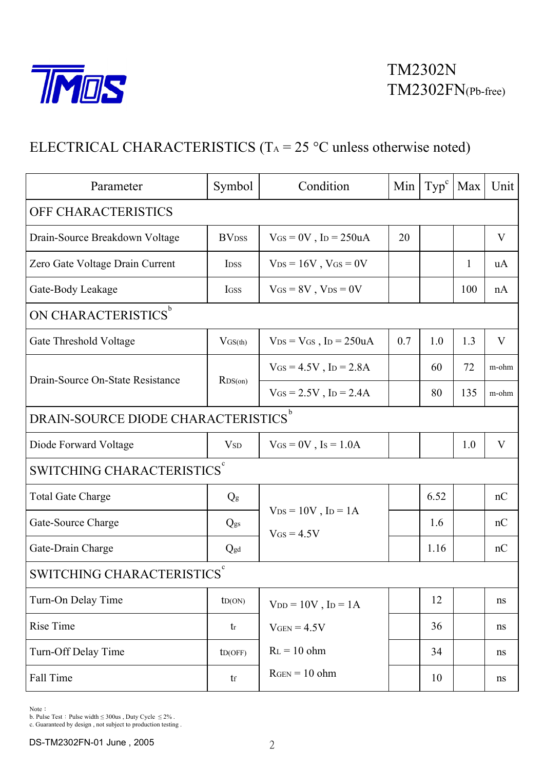

## ELECTRICAL CHARACTERISTICS (T<sub>A</sub> = 25 °C unless otherwise noted)

| Parameter                                     | Symbol                     | Condition                                               | Min | Type <sup>c</sup> | Max | Unit  |  |
|-----------------------------------------------|----------------------------|---------------------------------------------------------|-----|-------------------|-----|-------|--|
| OFF CHARACTERISTICS                           |                            |                                                         |     |                   |     |       |  |
| Drain-Source Breakdown Voltage                | <b>BV</b> <sub>DSS</sub>   | $V$ GS = 0V, ID = 250uA                                 | 20  |                   |     | V     |  |
| Zero Gate Voltage Drain Current               | <b>IDSS</b>                | $V_{DS} = 16V$ , $V_{GS} = 0V$                          |     |                   | 1   | uA    |  |
| Gate-Body Leakage                             | IGSS                       | $V$ <sub>GS</sub> = 8V, $V$ <sub>DS</sub> = 0V          |     |                   | 100 | nA    |  |
| ON CHARACTERISTICS <sup>b</sup>               |                            |                                                         |     |                   |     |       |  |
| Gate Threshold Voltage                        | $V$ GS(th)                 | $V_{DS} = V_{GS}$ , I <sub>D</sub> = 250uA              | 0.7 | 1.0               | 1.3 | V     |  |
| Drain-Source On-State Resistance              | RDS(0n)                    | $V_{GS} = 4.5V$ , I <sub>D</sub> = 2.8A                 |     | 60                | 72  | m-ohm |  |
|                                               |                            | $V_{GS} = 2.5V$ , I <sub>D</sub> = 2.4A                 |     | 80                | 135 | m-ohm |  |
| DRAIN-SOURCE DIODE CHARACTERISTICS $^{\rm b}$ |                            |                                                         |     |                   |     |       |  |
| Diode Forward Voltage                         | <b>V</b> <sub>SD</sub>     | $V_{GS} = 0V$ , Is = 1.0A                               |     |                   | 1.0 | V     |  |
| SWITCHING CHARACTERISTICS <sup>c</sup>        |                            |                                                         |     |                   |     |       |  |
| <b>Total Gate Charge</b>                      | $Q_g$                      |                                                         |     | 6.52              |     | nC    |  |
| Gate-Source Charge                            | Qgs                        | $V_{DS} = 10V$ , $I_D = 1A$<br>$V$ <sub>GS</sub> = 4.5V |     | 1.6               |     | nC    |  |
| Gate-Drain Charge                             | Qgd                        |                                                         |     | 1.16              |     | nC    |  |
| SWITCHING CHARACTERISTICS $^\mathrm{c}$       |                            |                                                         |     |                   |     |       |  |
| Turn-On Delay Time                            | ID(ON)                     | $V_{DD} = 10V$ , $I_D = 1A$                             |     | 12                |     | ns    |  |
| Rise Time                                     | tr                         | $V_{GEN} = 4.5V$                                        |     | 36                |     | ns    |  |
| Turn-Off Delay Time                           | ID(OFF)                    | $RL = 10$ ohm                                           |     | 34                |     | ns    |  |
| Fall Time                                     | $\mathop{\rm tr}\nolimits$ | $RGEN = 10 ohm$                                         |     | 10                |     | ns    |  |

 $\mbox{Note}$  :

b. Pulse Test : Pulse width  $\leq$  300us , Duty Cycle  $\leq$  2% .

c. Guaranteed by design , not subject to production testing .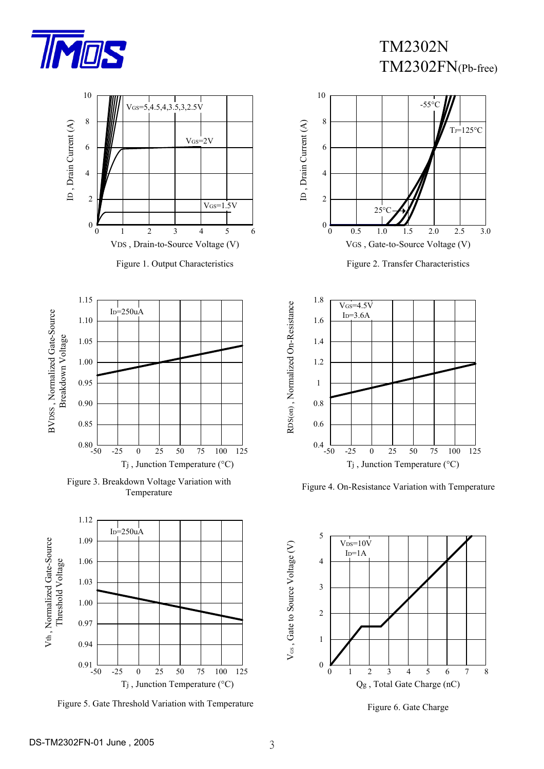

TM2302N TM2302FN(Pb-free)



Figure 5. Gate Threshold Variation with Temperature

Tj , Junction Temperature (°C)



Figure 2. Transfer Characteristics



Figure 4. On-Resistance Variation with Temperature



Figure 6. Gate Charge